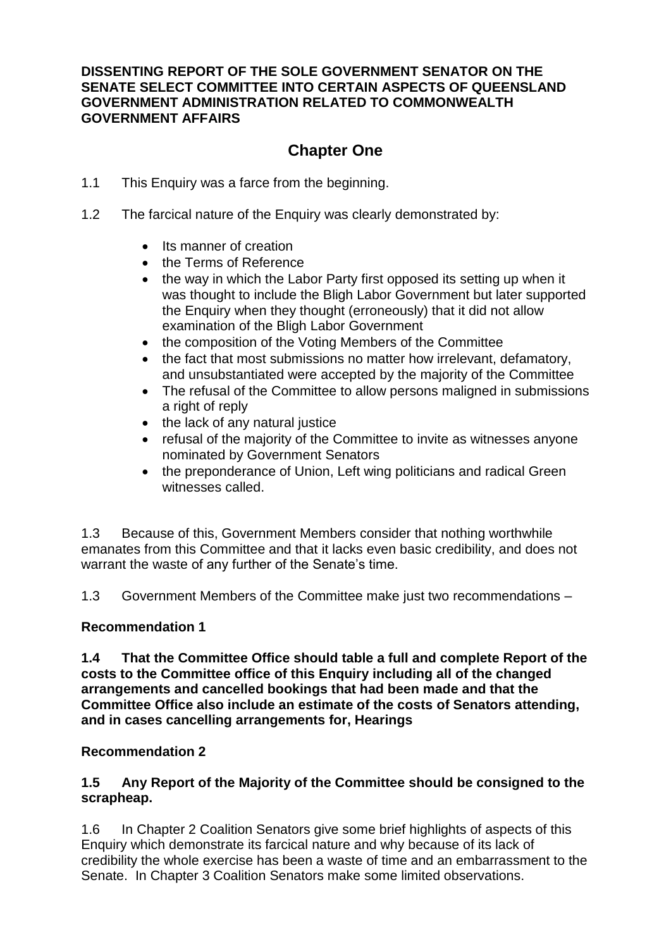### **DISSENTING REPORT OF THE SOLE GOVERNMENT SENATOR ON THE SENATE SELECT COMMITTEE INTO CERTAIN ASPECTS OF QUEENSLAND GOVERNMENT ADMINISTRATION RELATED TO COMMONWEALTH GOVERNMENT AFFAIRS**

# **Chapter One**

- 1.1 This Enquiry was a farce from the beginning.
- 1.2 The farcical nature of the Enquiry was clearly demonstrated by:
	- Its manner of creation
	- the Terms of Reference
	- the way in which the Labor Party first opposed its setting up when it was thought to include the Bligh Labor Government but later supported the Enquiry when they thought (erroneously) that it did not allow examination of the Bligh Labor Government
	- the composition of the Voting Members of the Committee
	- the fact that most submissions no matter how irrelevant, defamatory, and unsubstantiated were accepted by the majority of the Committee
	- The refusal of the Committee to allow persons maligned in submissions a right of reply
	- the lack of any natural justice
	- refusal of the majority of the Committee to invite as witnesses anyone nominated by Government Senators
	- the preponderance of Union, Left wing politicians and radical Green witnesses called.

1.3 Because of this, Government Members consider that nothing worthwhile emanates from this Committee and that it lacks even basic credibility, and does not warrant the waste of any further of the Senate's time.

1.3 Government Members of the Committee make just two recommendations –

#### **Recommendation 1**

**1.4 That the Committee Office should table a full and complete Report of the costs to the Committee office of this Enquiry including all of the changed arrangements and cancelled bookings that had been made and that the Committee Office also include an estimate of the costs of Senators attending, and in cases cancelling arrangements for, Hearings**

#### **Recommendation 2**

#### **1.5 Any Report of the Majority of the Committee should be consigned to the scrapheap.**

1.6 In Chapter 2 Coalition Senators give some brief highlights of aspects of this Enquiry which demonstrate its farcical nature and why because of its lack of credibility the whole exercise has been a waste of time and an embarrassment to the Senate. In Chapter 3 Coalition Senators make some limited observations.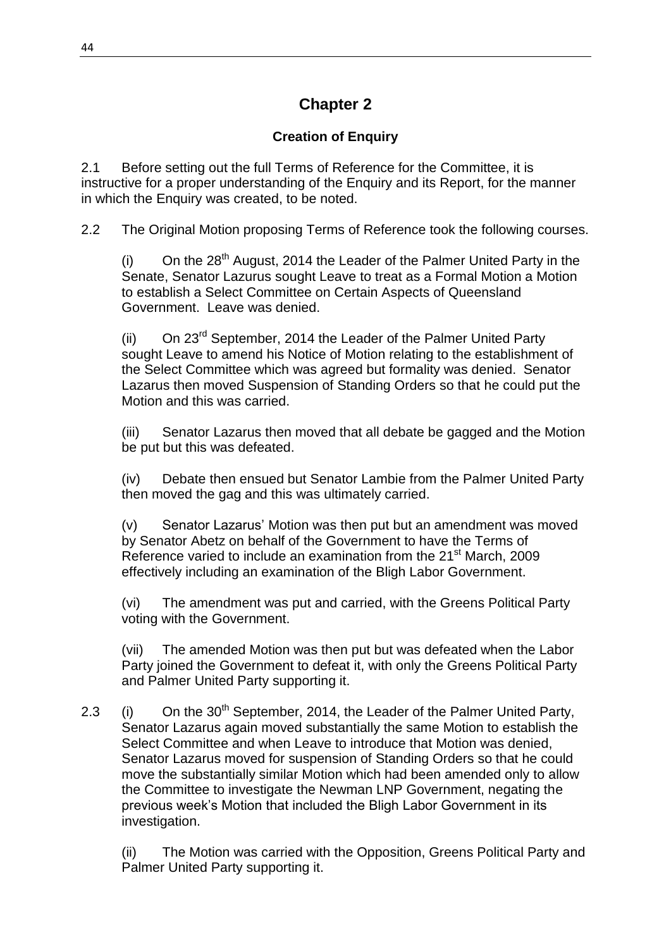# **Chapter 2**

## **Creation of Enquiry**

2.1 Before setting out the full Terms of Reference for the Committee, it is instructive for a proper understanding of the Enquiry and its Report, for the manner in which the Enquiry was created, to be noted.

2.2 The Original Motion proposing Terms of Reference took the following courses.

(i) On the  $28<sup>th</sup>$  August, 2014 the Leader of the Palmer United Party in the Senate, Senator Lazurus sought Leave to treat as a Formal Motion a Motion to establish a Select Committee on Certain Aspects of Queensland Government. Leave was denied.

(ii) On 23<sup>rd</sup> September, 2014 the Leader of the Palmer United Party sought Leave to amend his Notice of Motion relating to the establishment of the Select Committee which was agreed but formality was denied. Senator Lazarus then moved Suspension of Standing Orders so that he could put the Motion and this was carried.

(iii) Senator Lazarus then moved that all debate be gagged and the Motion be put but this was defeated.

(iv) Debate then ensued but Senator Lambie from the Palmer United Party then moved the gag and this was ultimately carried.

(v) Senator Lazarus' Motion was then put but an amendment was moved by Senator Abetz on behalf of the Government to have the Terms of Reference varied to include an examination from the 21<sup>st</sup> March, 2009 effectively including an examination of the Bligh Labor Government.

(vi) The amendment was put and carried, with the Greens Political Party voting with the Government.

(vii) The amended Motion was then put but was defeated when the Labor Party joined the Government to defeat it, with only the Greens Political Party and Palmer United Party supporting it.

2.3 (i) On the 30<sup>th</sup> September, 2014, the Leader of the Palmer United Party, Senator Lazarus again moved substantially the same Motion to establish the Select Committee and when Leave to introduce that Motion was denied, Senator Lazarus moved for suspension of Standing Orders so that he could move the substantially similar Motion which had been amended only to allow the Committee to investigate the Newman LNP Government, negating the previous week's Motion that included the Bligh Labor Government in its investigation.

(ii) The Motion was carried with the Opposition, Greens Political Party and Palmer United Party supporting it.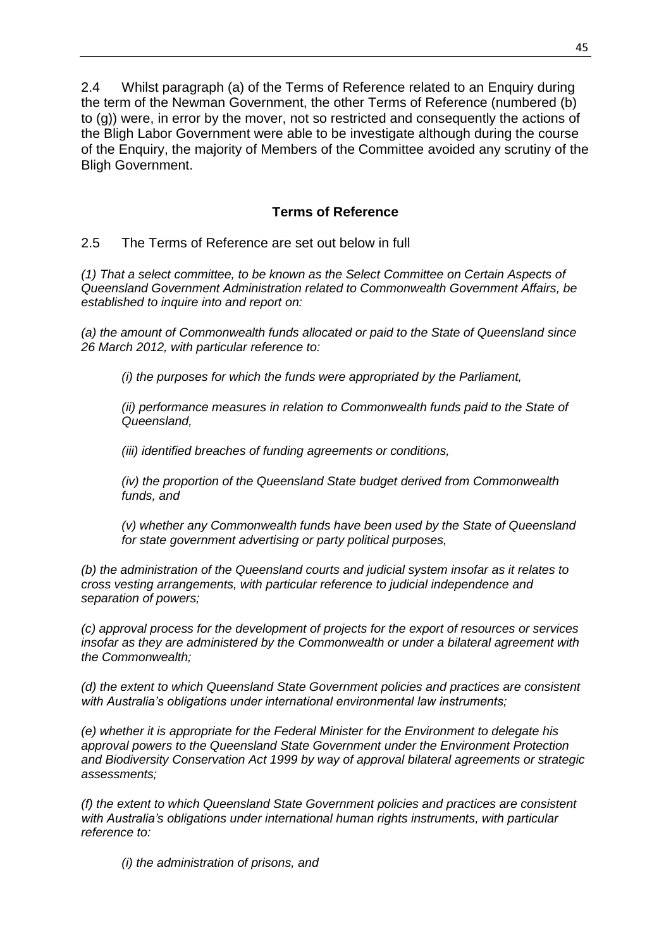2.4 Whilst paragraph (a) of the Terms of Reference related to an Enquiry during the term of the Newman Government, the other Terms of Reference (numbered (b) to (g)) were, in error by the mover, not so restricted and consequently the actions of the Bligh Labor Government were able to be investigate although during the course of the Enquiry, the majority of Members of the Committee avoided any scrutiny of the Bligh Government.

### **Terms of Reference**

2.5 The Terms of Reference are set out below in full

*(1) That a select committee, to be known as the Select Committee on Certain Aspects of Queensland Government Administration related to Commonwealth Government Affairs, be established to inquire into and report on:*

*(a) the amount of Commonwealth funds allocated or paid to the State of Queensland since 26 March 2012, with particular reference to:*

*(i) the purposes for which the funds were appropriated by the Parliament,*

*(ii) performance measures in relation to Commonwealth funds paid to the State of Queensland,*

*(iii) identified breaches of funding agreements or conditions,*

*(iv) the proportion of the Queensland State budget derived from Commonwealth funds, and*

*(v) whether any Commonwealth funds have been used by the State of Queensland for state government advertising or party political purposes,*

*(b) the administration of the Queensland courts and judicial system insofar as it relates to cross vesting arrangements, with particular reference to judicial independence and separation of powers;*

*(c) approval process for the development of projects for the export of resources or services insofar as they are administered by the Commonwealth or under a bilateral agreement with the Commonwealth;*

*(d) the extent to which Queensland State Government policies and practices are consistent with Australia's obligations under international environmental law instruments;*

*(e) whether it is appropriate for the Federal Minister for the Environment to delegate his approval powers to the Queensland State Government under the Environment Protection and Biodiversity Conservation Act 1999 by way of approval bilateral agreements or strategic assessments;*

*(f) the extent to which Queensland State Government policies and practices are consistent with Australia's obligations under international human rights instruments, with particular reference to:*

*(i) the administration of prisons, and*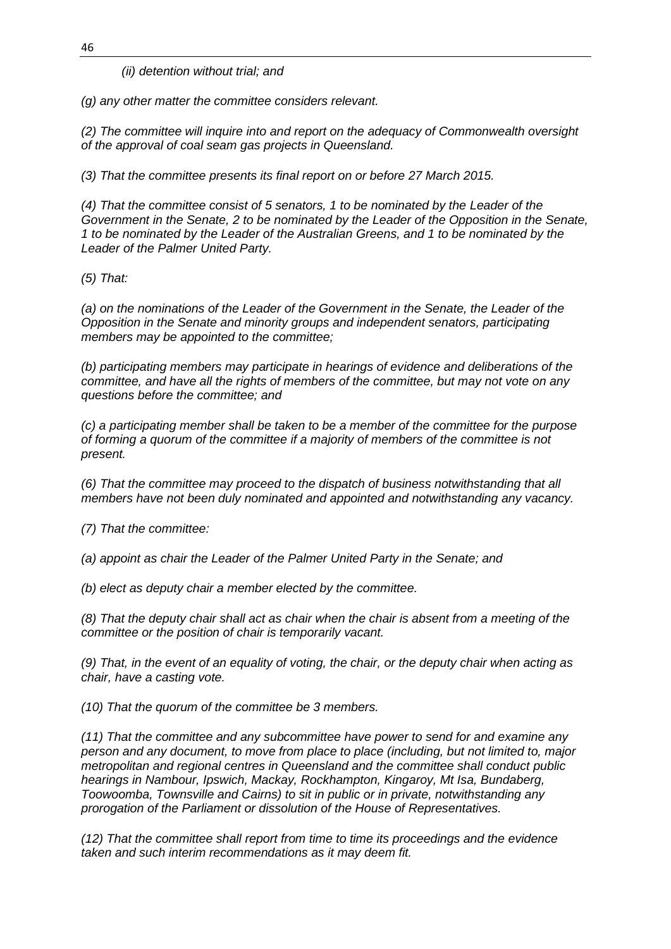*(ii) detention without trial; and*

*(g) any other matter the committee considers relevant.*

*(2) The committee will inquire into and report on the adequacy of Commonwealth oversight of the approval of coal seam gas projects in Queensland.*

*(3) That the committee presents its final report on or before 27 March 2015.*

*(4) That the committee consist of 5 senators, 1 to be nominated by the Leader of the Government in the Senate, 2 to be nominated by the Leader of the Opposition in the Senate, 1 to be nominated by the Leader of the Australian Greens, and 1 to be nominated by the Leader of the Palmer United Party.*

*(5) That:*

*(a) on the nominations of the Leader of the Government in the Senate, the Leader of the Opposition in the Senate and minority groups and independent senators, participating members may be appointed to the committee;*

*(b) participating members may participate in hearings of evidence and deliberations of the committee, and have all the rights of members of the committee, but may not vote on any questions before the committee; and*

*(c) a participating member shall be taken to be a member of the committee for the purpose of forming a quorum of the committee if a majority of members of the committee is not present.*

*(6) That the committee may proceed to the dispatch of business notwithstanding that all members have not been duly nominated and appointed and notwithstanding any vacancy.*

*(7) That the committee:*

*(a) appoint as chair the Leader of the Palmer United Party in the Senate; and*

*(b) elect as deputy chair a member elected by the committee.*

*(8) That the deputy chair shall act as chair when the chair is absent from a meeting of the committee or the position of chair is temporarily vacant.*

*(9) That, in the event of an equality of voting, the chair, or the deputy chair when acting as chair, have a casting vote.*

*(10) That the quorum of the committee be 3 members.*

*(11) That the committee and any subcommittee have power to send for and examine any person and any document, to move from place to place (including, but not limited to, major metropolitan and regional centres in Queensland and the committee shall conduct public hearings in Nambour, Ipswich, Mackay, Rockhampton, Kingaroy, Mt Isa, Bundaberg, Toowoomba, Townsville and Cairns) to sit in public or in private, notwithstanding any prorogation of the Parliament or dissolution of the House of Representatives.*

*(12) That the committee shall report from time to time its proceedings and the evidence taken and such interim recommendations as it may deem fit.*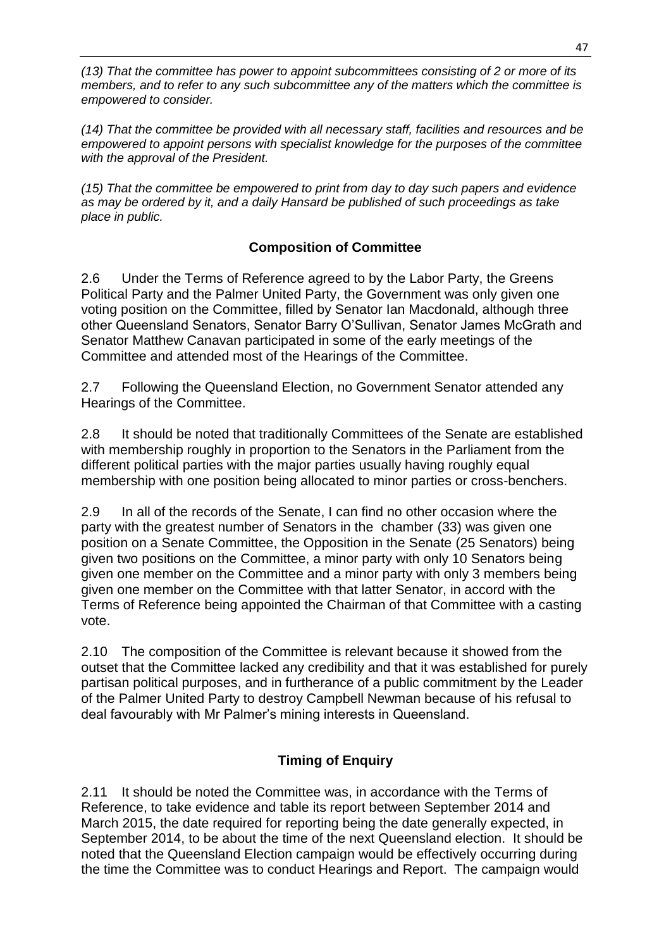*(13) That the committee has power to appoint subcommittees consisting of 2 or more of its members, and to refer to any such subcommittee any of the matters which the committee is empowered to consider.*

*(14) That the committee be provided with all necessary staff, facilities and resources and be empowered to appoint persons with specialist knowledge for the purposes of the committee with the approval of the President.*

*(15) That the committee be empowered to print from day to day such papers and evidence as may be ordered by it, and a daily Hansard be published of such proceedings as take place in public.*

## **Composition of Committee**

2.6 Under the Terms of Reference agreed to by the Labor Party, the Greens Political Party and the Palmer United Party, the Government was only given one voting position on the Committee, filled by Senator Ian Macdonald, although three other Queensland Senators, Senator Barry O'Sullivan, Senator James McGrath and Senator Matthew Canavan participated in some of the early meetings of the Committee and attended most of the Hearings of the Committee.

2.7 Following the Queensland Election, no Government Senator attended any Hearings of the Committee.

2.8 It should be noted that traditionally Committees of the Senate are established with membership roughly in proportion to the Senators in the Parliament from the different political parties with the major parties usually having roughly equal membership with one position being allocated to minor parties or cross-benchers.

2.9 In all of the records of the Senate, I can find no other occasion where the party with the greatest number of Senators in the chamber (33) was given one position on a Senate Committee, the Opposition in the Senate (25 Senators) being given two positions on the Committee, a minor party with only 10 Senators being given one member on the Committee and a minor party with only 3 members being given one member on the Committee with that latter Senator, in accord with the Terms of Reference being appointed the Chairman of that Committee with a casting vote.

2.10 The composition of the Committee is relevant because it showed from the outset that the Committee lacked any credibility and that it was established for purely partisan political purposes, and in furtherance of a public commitment by the Leader of the Palmer United Party to destroy Campbell Newman because of his refusal to deal favourably with Mr Palmer's mining interests in Queensland.

## **Timing of Enquiry**

2.11 It should be noted the Committee was, in accordance with the Terms of Reference, to take evidence and table its report between September 2014 and March 2015, the date required for reporting being the date generally expected, in September 2014, to be about the time of the next Queensland election. It should be noted that the Queensland Election campaign would be effectively occurring during the time the Committee was to conduct Hearings and Report. The campaign would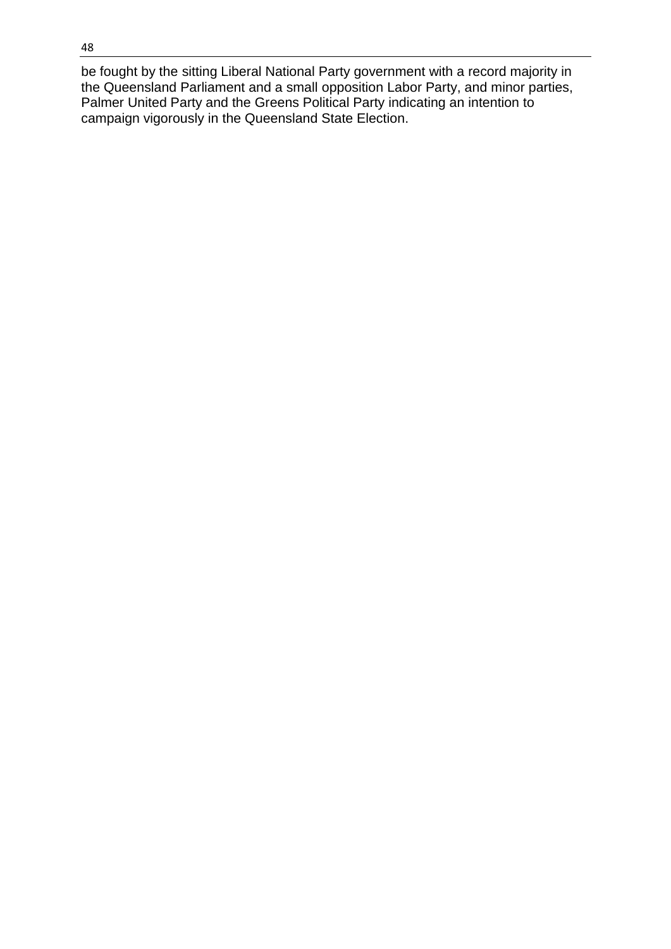be fought by the sitting Liberal National Party government with a record majority in the Queensland Parliament and a small opposition Labor Party, and minor parties, Palmer United Party and the Greens Political Party indicating an intention to campaign vigorously in the Queensland State Election.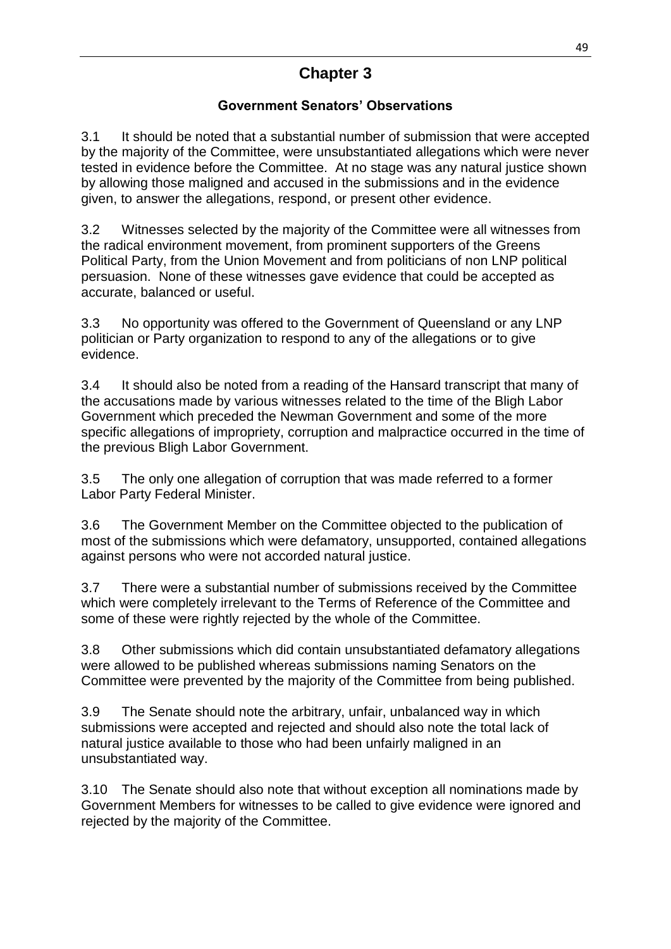# **Chapter 3**

## **Government Senators' Observations**

3.1 It should be noted that a substantial number of submission that were accepted by the majority of the Committee, were unsubstantiated allegations which were never tested in evidence before the Committee. At no stage was any natural justice shown by allowing those maligned and accused in the submissions and in the evidence given, to answer the allegations, respond, or present other evidence.

3.2 Witnesses selected by the majority of the Committee were all witnesses from the radical environment movement, from prominent supporters of the Greens Political Party, from the Union Movement and from politicians of non LNP political persuasion. None of these witnesses gave evidence that could be accepted as accurate, balanced or useful.

3.3 No opportunity was offered to the Government of Queensland or any LNP politician or Party organization to respond to any of the allegations or to give evidence.

3.4 It should also be noted from a reading of the Hansard transcript that many of the accusations made by various witnesses related to the time of the Bligh Labor Government which preceded the Newman Government and some of the more specific allegations of impropriety, corruption and malpractice occurred in the time of the previous Bligh Labor Government.

3.5 The only one allegation of corruption that was made referred to a former Labor Party Federal Minister.

3.6 The Government Member on the Committee objected to the publication of most of the submissions which were defamatory, unsupported, contained allegations against persons who were not accorded natural justice.

3.7 There were a substantial number of submissions received by the Committee which were completely irrelevant to the Terms of Reference of the Committee and some of these were rightly rejected by the whole of the Committee.

3.8 Other submissions which did contain unsubstantiated defamatory allegations were allowed to be published whereas submissions naming Senators on the Committee were prevented by the majority of the Committee from being published.

3.9 The Senate should note the arbitrary, unfair, unbalanced way in which submissions were accepted and rejected and should also note the total lack of natural justice available to those who had been unfairly maligned in an unsubstantiated way.

3.10 The Senate should also note that without exception all nominations made by Government Members for witnesses to be called to give evidence were ignored and rejected by the majority of the Committee.